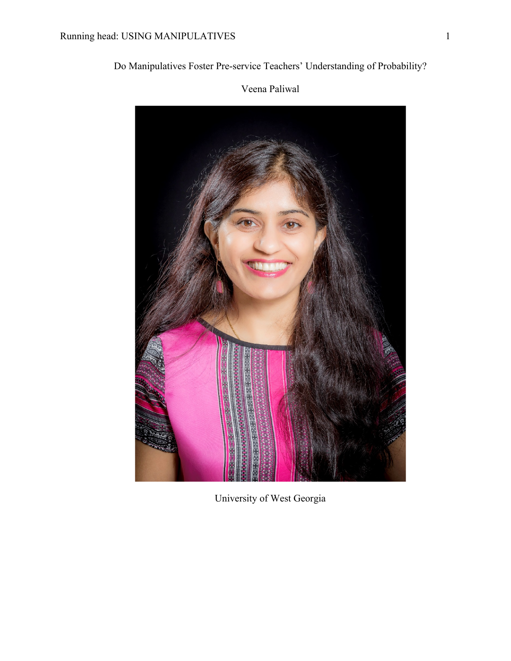# Do Manipulatives Foster Pre-service Teachers' Understanding of Probability?



Veena Paliwal

University of West Georgia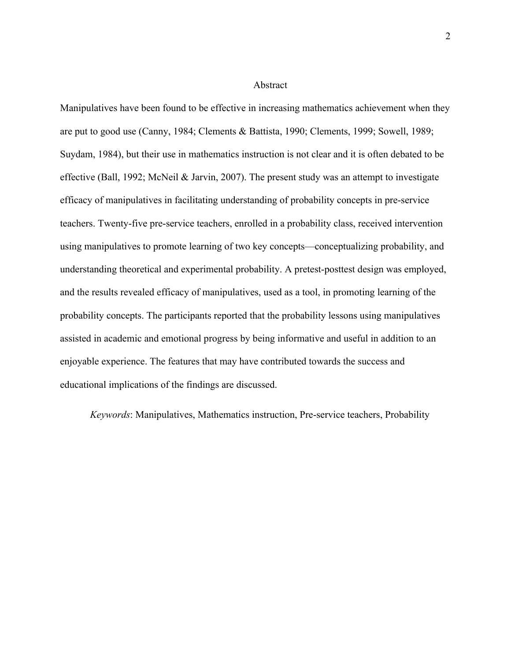#### Abstract

Manipulatives have been found to be effective in increasing mathematics achievement when they are put to good use (Canny, 1984; Clements & Battista, 1990; Clements, 1999; Sowell, 1989; Suydam, 1984), but their use in mathematics instruction is not clear and it is often debated to be effective (Ball, 1992; McNeil & Jarvin, 2007). The present study was an attempt to investigate efficacy of manipulatives in facilitating understanding of probability concepts in pre-service teachers. Twenty-five pre-service teachers, enrolled in a probability class, received intervention using manipulatives to promote learning of two key concepts—conceptualizing probability, and understanding theoretical and experimental probability. A pretest-posttest design was employed, and the results revealed efficacy of manipulatives, used as a tool, in promoting learning of the probability concepts. The participants reported that the probability lessons using manipulatives assisted in academic and emotional progress by being informative and useful in addition to an enjoyable experience. The features that may have contributed towards the success and educational implications of the findings are discussed.

*Keywords*: Manipulatives, Mathematics instruction, Pre-service teachers, Probability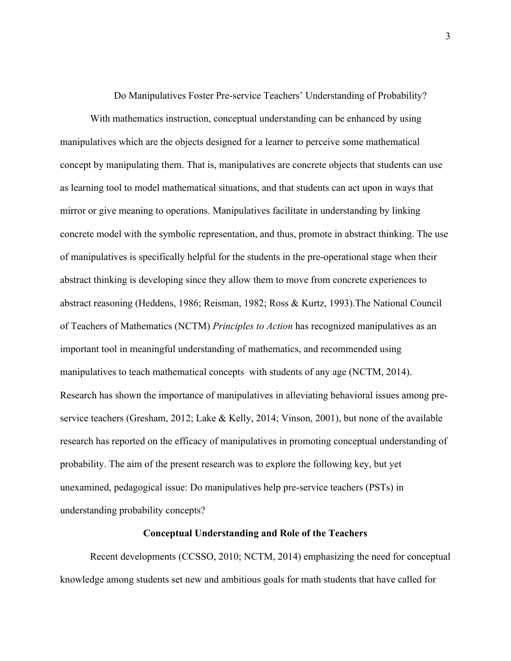Do Manipulatives Foster Pre-service Teachers' Understanding of Probability?

With mathematics instruction, conceptual understanding can be enhanced by using manipulatives which are the objects designed for a learner to perceive some mathematical concept by manipulating them. That is, manipulatives are concrete objects that students can use as learning tool to model mathematical situations, and that students can act upon in ways that mirror or give meaning to operations. Manipulatives facilitate in understanding by linking concrete model with the symbolic representation, and thus, promote in abstract thinking. The use of manipulatives is specifically helpful for the students in the pre-operational stage when their abstract thinking is developing since they allow them to move from concrete experiences to abstract reasoning (Heddens, 1986; Reisman, 1982; Ross & Kurtz, 1993).The National Council of Teachers of Mathematics (NCTM) *Principles to Action* has recognized manipulatives as an important tool in meaningful understanding of mathematics, and recommended using manipulatives to teach mathematical concepts with students of any age (NCTM, 2014). Research has shown the importance of manipulatives in alleviating behavioral issues among preservice teachers (Gresham, 2012; Lake & Kelly, 2014; Vinson, 2001), but none of the available research has reported on the efficacy of manipulatives in promoting conceptual understanding of probability. The aim of the present research was to explore the following key, but yet unexamined, pedagogical issue: Do manipulatives help pre-service teachers (PSTs) in understanding probability concepts?

### **Conceptual Understanding and Role of the Teachers**

Recent developments (CCSSO, 2010; NCTM, 2014) emphasizing the need for conceptual knowledge among students set new and ambitious goals for math students that have called for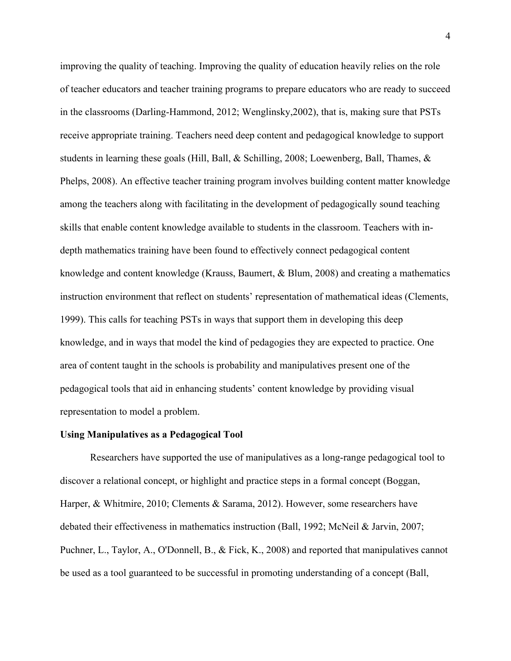improving the quality of teaching. Improving the quality of education heavily relies on the role of teacher educators and teacher training programs to prepare educators who are ready to succeed in the classrooms (Darling-Hammond, 2012; Wenglinsky,2002), that is, making sure that PSTs receive appropriate training. Teachers need deep content and pedagogical knowledge to support students in learning these goals (Hill, Ball, & Schilling, 2008; Loewenberg, Ball, Thames,  $\&$ Phelps, 2008). An effective teacher training program involves building content matter knowledge among the teachers along with facilitating in the development of pedagogically sound teaching skills that enable content knowledge available to students in the classroom. Teachers with indepth mathematics training have been found to effectively connect pedagogical content knowledge and content knowledge (Krauss, Baumert, & Blum, 2008) and creating a mathematics instruction environment that reflect on students' representation of mathematical ideas (Clements, 1999). This calls for teaching PSTs in ways that support them in developing this deep knowledge, and in ways that model the kind of pedagogies they are expected to practice. One area of content taught in the schools is probability and manipulatives present one of the pedagogical tools that aid in enhancing students' content knowledge by providing visual representation to model a problem.

#### **Using Manipulatives as a Pedagogical Tool**

Researchers have supported the use of manipulatives as a long-range pedagogical tool to discover a relational concept, or highlight and practice steps in a formal concept (Boggan, Harper, & Whitmire, 2010; Clements & Sarama, 2012). However, some researchers have debated their effectiveness in mathematics instruction (Ball, 1992; McNeil & Jarvin, 2007; Puchner, L., Taylor, A., O'Donnell, B., & Fick, K., 2008) and reported that manipulatives cannot be used as a tool guaranteed to be successful in promoting understanding of a concept (Ball,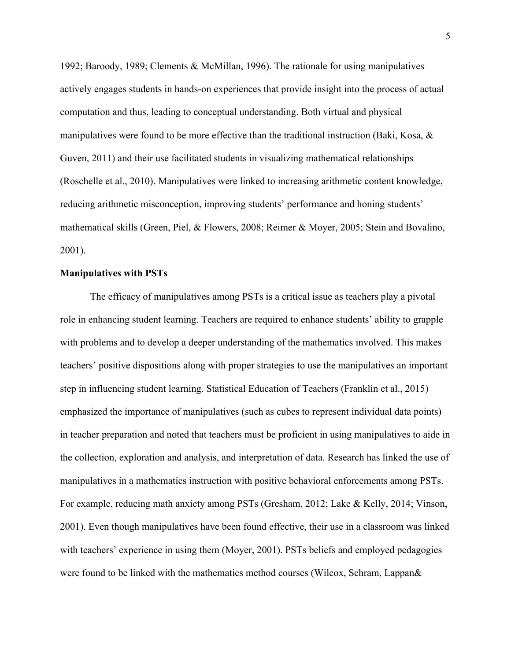1992; Baroody, 1989; Clements & McMillan, 1996). The rationale for using manipulatives actively engages students in hands-on experiences that provide insight into the process of actual computation and thus, leading to conceptual understanding. Both virtual and physical manipulatives were found to be more effective than the traditional instruction (Baki, Kosa, & Guven, 2011) and their use facilitated students in visualizing mathematical relationships (Roschelle et al., 2010). Manipulatives were linked to increasing arithmetic content knowledge, reducing arithmetic misconception, improving students' performance and honing students' mathematical skills (Green, Piel, & Flowers, 2008; Reimer & Moyer, 2005; Stein and Bovalino, 2001).

#### **Manipulatives with PSTs**

The efficacy of manipulatives among PSTs is a critical issue as teachers play a pivotal role in enhancing student learning. Teachers are required to enhance students' ability to grapple with problems and to develop a deeper understanding of the mathematics involved. This makes teachers' positive dispositions along with proper strategies to use the manipulatives an important step in influencing student learning. Statistical Education of Teachers (Franklin et al., 2015) emphasized the importance of manipulatives (such as cubes to represent individual data points) in teacher preparation and noted that teachers must be proficient in using manipulatives to aide in the collection, exploration and analysis, and interpretation of data. Research has linked the use of manipulatives in a mathematics instruction with positive behavioral enforcements among PSTs. For example, reducing math anxiety among PSTs (Gresham, 2012; Lake & Kelly, 2014; Vinson, 2001). Even though manipulatives have been found effective, their use in a classroom was linked with teachers' experience in using them (Moyer, 2001). PSTs beliefs and employed pedagogies were found to be linked with the mathematics method courses (Wilcox, Schram, Lappan&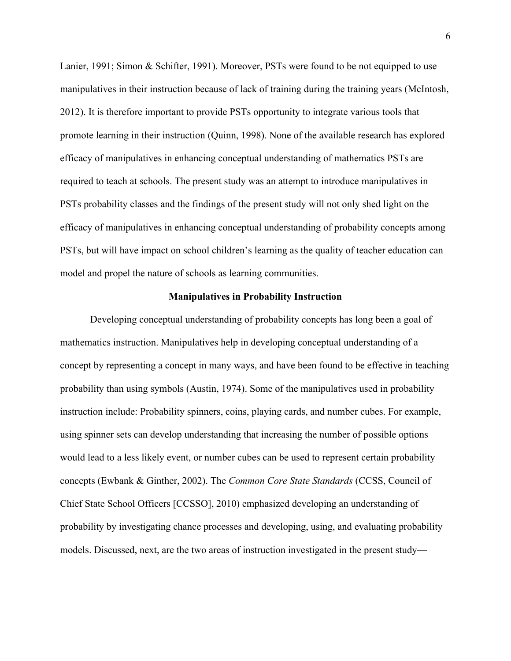Lanier, 1991; Simon & Schifter, 1991). Moreover, PSTs were found to be not equipped to use manipulatives in their instruction because of lack of training during the training years (McIntosh, 2012). It is therefore important to provide PSTs opportunity to integrate various tools that promote learning in their instruction (Quinn, 1998). None of the available research has explored efficacy of manipulatives in enhancing conceptual understanding of mathematics PSTs are required to teach at schools. The present study was an attempt to introduce manipulatives in PSTs probability classes and the findings of the present study will not only shed light on the efficacy of manipulatives in enhancing conceptual understanding of probability concepts among PSTs, but will have impact on school children's learning as the quality of teacher education can model and propel the nature of schools as learning communities.

#### **Manipulatives in Probability Instruction**

Developing conceptual understanding of probability concepts has long been a goal of mathematics instruction. Manipulatives help in developing conceptual understanding of a concept by representing a concept in many ways, and have been found to be effective in teaching probability than using symbols (Austin, 1974). Some of the manipulatives used in probability instruction include: Probability spinners, coins, playing cards, and number cubes. For example, using spinner sets can develop understanding that increasing the number of possible options would lead to a less likely event, or number cubes can be used to represent certain probability concepts (Ewbank & Ginther, 2002). The *Common Core State Standards* (CCSS, Council of Chief State School Officers [CCSSO], 2010) emphasized developing an understanding of probability by investigating chance processes and developing, using, and evaluating probability models. Discussed, next, are the two areas of instruction investigated in the present study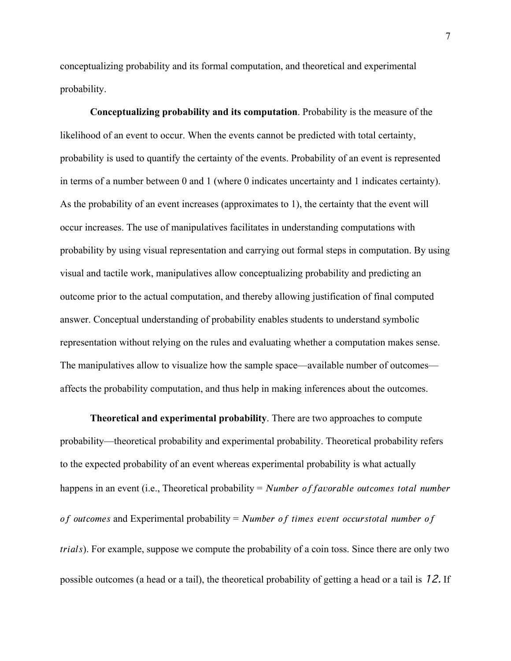conceptualizing probability and its formal computation, and theoretical and experimental probability.

**Conceptualizing probability and its computation**. Probability is the measure of the likelihood of an event to occur. When the events cannot be predicted with total certainty, probability is used to quantify the certainty of the events. Probability of an event is represented in terms of a number between 0 and 1 (where 0 indicates uncertainty and 1 indicates certainty). As the probability of an event increases (approximates to 1), the certainty that the event will occur increases. The use of manipulatives facilitates in understanding computations with probability by using visual representation and carrying out formal steps in computation. By using visual and tactile work, manipulatives allow conceptualizing probability and predicting an outcome prior to the actual computation, and thereby allowing justification of final computed answer. Conceptual understanding of probability enables students to understand symbolic representation without relying on the rules and evaluating whether a computation makes sense. The manipulatives allow to visualize how the sample space—available number of outcomes affects the probability computation, and thus help in making inferences about the outcomes.

**Theoretical and experimental probability**. There are two approaches to compute probability—theoretical probability and experimental probability. Theoretical probability refers to the expected probability of an event whereas experimental probability is what actually happens in an event (i.e., Theoretical probability = Number of favorable outcomes total number of outcomes and Experimental probability = Number of times event occurstotal number of ). For example, suppose we compute the probability of a coin toss. Since there are only two possible outcomes (a head or a tail), the theoretical probability of getting a head or a tail is 12. If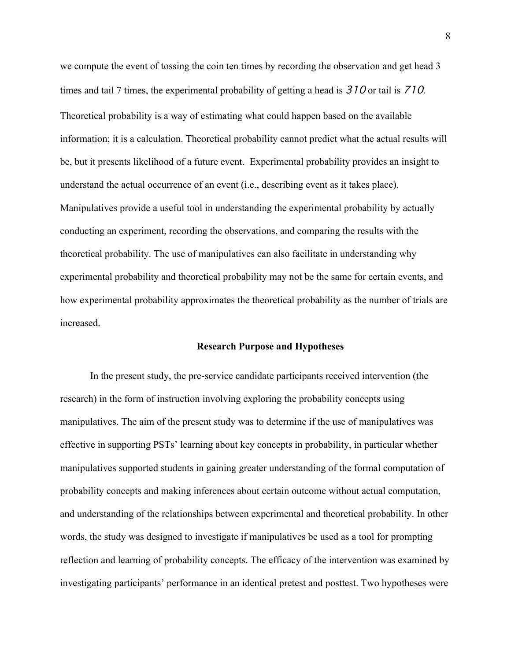we compute the event of tossing the coin ten times by recording the observation and get head 3 times and tail 7 times, the experimental probability of getting a head is 310 or tail is 710. Theoretical probability is a way of estimating what could happen based on the available information; it is a calculation. Theoretical probability cannot predict what the actual results will be, but it presents likelihood of a future event. Experimental probability provides an insight to understand the actual occurrence of an event (i.e., describing event as it takes place). Manipulatives provide a useful tool in understanding the experimental probability by actually conducting an experiment, recording the observations, and comparing the results with the theoretical probability. The use of manipulatives can also facilitate in understanding why experimental probability and theoretical probability may not be the same for certain events, and how experimental probability approximates the theoretical probability as the number of trials are increased.

#### **Research Purpose and Hypotheses**

In the present study, the pre-service candidate participants received intervention (the research) in the form of instruction involving exploring the probability concepts using manipulatives. The aim of the present study was to determine if the use of manipulatives was effective in supporting PSTs' learning about key concepts in probability, in particular whether manipulatives supported students in gaining greater understanding of the formal computation of probability concepts and making inferences about certain outcome without actual computation, and understanding of the relationships between experimental and theoretical probability. In other words, the study was designed to investigate if manipulatives be used as a tool for prompting reflection and learning of probability concepts. The efficacy of the intervention was examined by investigating participants' performance in an identical pretest and posttest. Two hypotheses were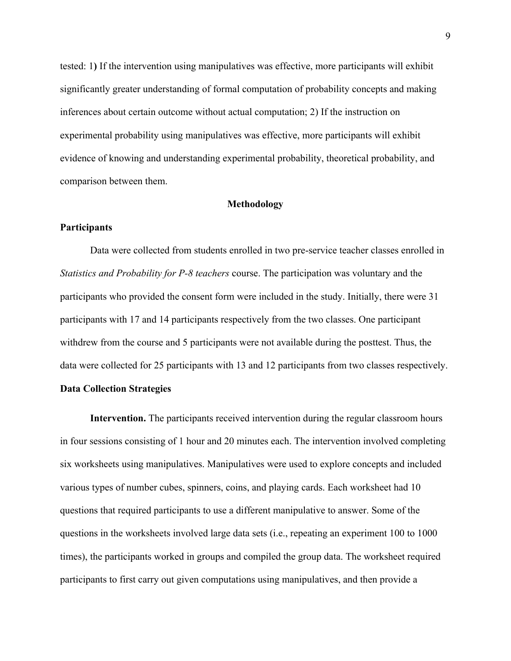tested: 1**)** If the intervention using manipulatives was effective, more participants will exhibit significantly greater understanding of formal computation of probability concepts and making inferences about certain outcome without actual computation; 2) If the instruction on experimental probability using manipulatives was effective, more participants will exhibit evidence of knowing and understanding experimental probability, theoretical probability, and comparison between them.

### **Methodology**

### **Participants**

Data were collected from students enrolled in two pre-service teacher classes enrolled in *Statistics and Probability for P-8 teachers* course. The participation was voluntary and the participants who provided the consent form were included in the study. Initially, there were 31 participants with 17 and 14 participants respectively from the two classes. One participant withdrew from the course and 5 participants were not available during the posttest. Thus, the data were collected for 25 participants with 13 and 12 participants from two classes respectively.

# **Data Collection Strategies**

**Intervention.** The participants received intervention during the regular classroom hours in four sessions consisting of 1 hour and 20 minutes each. The intervention involved completing six worksheets using manipulatives. Manipulatives were used to explore concepts and included various types of number cubes, spinners, coins, and playing cards. Each worksheet had 10 questions that required participants to use a different manipulative to answer. Some of the questions in the worksheets involved large data sets (i.e., repeating an experiment 100 to 1000 times), the participants worked in groups and compiled the group data. The worksheet required participants to first carry out given computations using manipulatives, and then provide a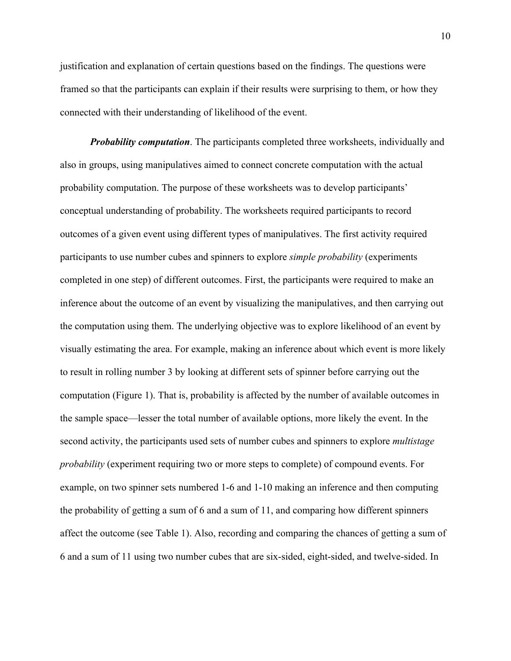justification and explanation of certain questions based on the findings. The questions were framed so that the participants can explain if their results were surprising to them, or how they connected with their understanding of likelihood of the event.

*Probability computation*. The participants completed three worksheets, individually and also in groups, using manipulatives aimed to connect concrete computation with the actual probability computation. The purpose of these worksheets was to develop participants' conceptual understanding of probability. The worksheets required participants to record outcomes of a given event using different types of manipulatives. The first activity required participants to use number cubes and spinners to explore *simple probability* (experiments completed in one step) of different outcomes. First, the participants were required to make an inference about the outcome of an event by visualizing the manipulatives, and then carrying out the computation using them. The underlying objective was to explore likelihood of an event by visually estimating the area. For example, making an inference about which event is more likely to result in rolling number 3 by looking at different sets of spinner before carrying out the computation (Figure 1). That is, probability is affected by the number of available outcomes in the sample space—lesser the total number of available options, more likely the event. In the second activity, the participants used sets of number cubes and spinners to explore *multistage probability* (experiment requiring two or more steps to complete) of compound events. For example, on two spinner sets numbered 1-6 and 1-10 making an inference and then computing the probability of getting a sum of 6 and a sum of 11, and comparing how different spinners affect the outcome (see Table 1). Also, recording and comparing the chances of getting a sum of 6 and a sum of 11 using two number cubes that are six-sided, eight-sided, and twelve-sided. In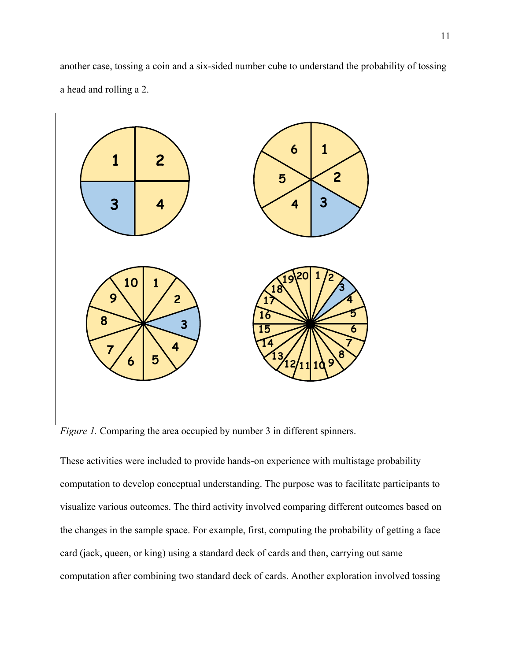another case, tossing a coin and a six-sided number cube to understand the probability of tossing a head and rolling a 2.



*Figure 1.* Comparing the area occupied by number 3 in different spinners.

These activities were included to provide hands-on experience with multistage probability computation to develop conceptual understanding. The purpose was to facilitate participants to visualize various outcomes. The third activity involved comparing different outcomes based on the changes in the sample space. For example, first, computing the probability of getting a face card (jack, queen, or king) using a standard deck of cards and then, carrying out same computation after combining two standard deck of cards. Another exploration involved tossing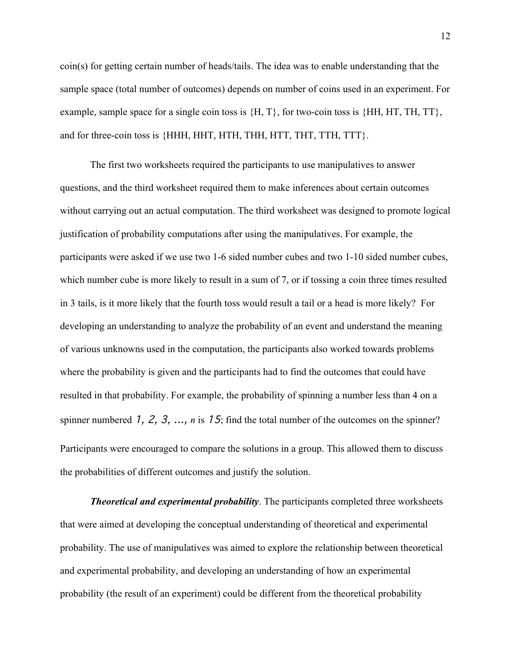coin(s) for getting certain number of heads/tails. The idea was to enable understanding that the sample space (total number of outcomes) depends on number of coins used in an experiment. For example, sample space for a single coin toss is  $\{H, T\}$ , for two-coin toss is  $\{HH, HT, TH, TT\}$ , and for three-coin toss is {HHH, HHT, HTH, THH, HTT, THT, TTH, TTT}.

The first two worksheets required the participants to use manipulatives to answer questions, and the third worksheet required them to make inferences about certain outcomes without carrying out an actual computation. The third worksheet was designed to promote logical justification of probability computations after using the manipulatives. For example, the participants were asked if we use two 1-6 sided number cubes and two 1-10 sided number cubes, which number cube is more likely to result in a sum of 7, or if tossing a coin three times resulted in 3 tails, is it more likely that the fourth toss would result a tail or a head is more likely? For developing an understanding to analyze the probability of an event and understand the meaning of various unknowns used in the computation, the participants also worked towards problems where the probability is given and the participants had to find the outcomes that could have resulted in that probability. For example, the probability of spinning a number less than 4 on a spinner numbered 1, 2, 3, ..., *n* is 15; find the total number of the outcomes on the spinner? Participants were encouraged to compare the solutions in a group. This allowed them to discuss the probabilities of different outcomes and justify the solution.

*Theoretical and experimental probability*. The participants completed three worksheets that were aimed at developing the conceptual understanding of theoretical and experimental probability. The use of manipulatives was aimed to explore the relationship between theoretical and experimental probability, and developing an understanding of how an experimental probability (the result of an experiment) could be different from the theoretical probability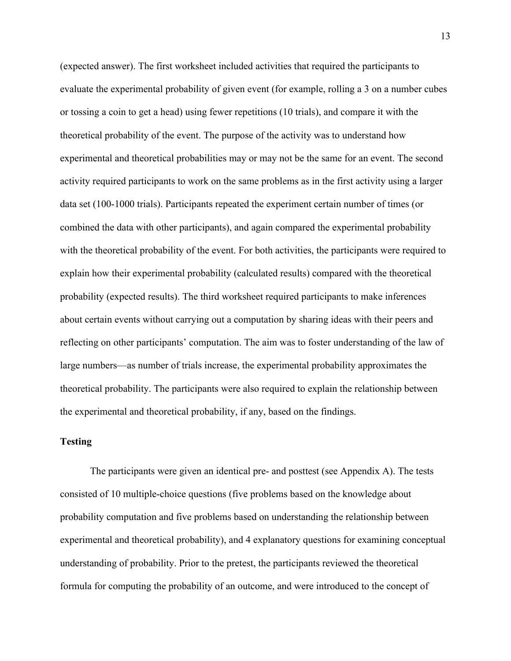(expected answer). The first worksheet included activities that required the participants to evaluate the experimental probability of given event (for example, rolling a 3 on a number cubes or tossing a coin to get a head) using fewer repetitions (10 trials), and compare it with the theoretical probability of the event. The purpose of the activity was to understand how experimental and theoretical probabilities may or may not be the same for an event. The second activity required participants to work on the same problems as in the first activity using a larger data set (100-1000 trials). Participants repeated the experiment certain number of times (or combined the data with other participants), and again compared the experimental probability with the theoretical probability of the event. For both activities, the participants were required to explain how their experimental probability (calculated results) compared with the theoretical probability (expected results). The third worksheet required participants to make inferences about certain events without carrying out a computation by sharing ideas with their peers and reflecting on other participants' computation. The aim was to foster understanding of the law of large numbers—as number of trials increase, the experimental probability approximates the theoretical probability. The participants were also required to explain the relationship between the experimental and theoretical probability, if any, based on the findings.

# **Testing**

The participants were given an identical pre- and posttest (see Appendix A). The tests consisted of 10 multiple-choice questions (five problems based on the knowledge about probability computation and five problems based on understanding the relationship between experimental and theoretical probability), and 4 explanatory questions for examining conceptual understanding of probability. Prior to the pretest, the participants reviewed the theoretical formula for computing the probability of an outcome, and were introduced to the concept of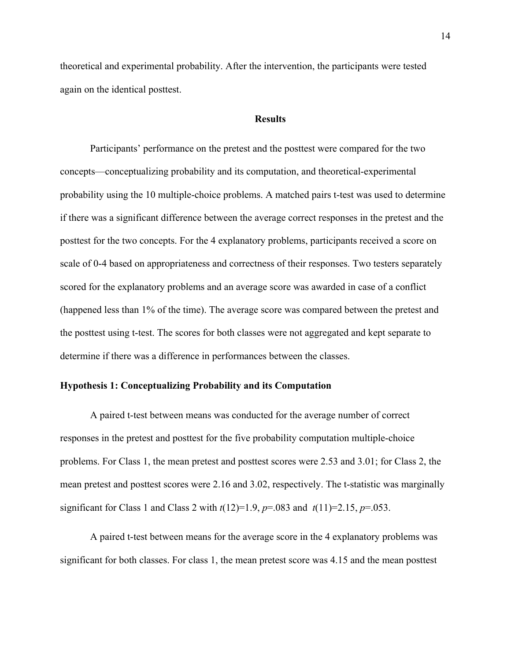theoretical and experimental probability. After the intervention, the participants were tested again on the identical posttest.

#### **Results**

Participants' performance on the pretest and the posttest were compared for the two concepts—conceptualizing probability and its computation, and theoretical-experimental probability using the 10 multiple-choice problems. A matched pairs t-test was used to determine if there was a significant difference between the average correct responses in the pretest and the posttest for the two concepts. For the 4 explanatory problems, participants received a score on scale of 0-4 based on appropriateness and correctness of their responses. Two testers separately scored for the explanatory problems and an average score was awarded in case of a conflict (happened less than 1% of the time). The average score was compared between the pretest and the posttest using t-test. The scores for both classes were not aggregated and kept separate to determine if there was a difference in performances between the classes.

### **Hypothesis 1: Conceptualizing Probability and its Computation**

A paired t-test between means was conducted for the average number of correct responses in the pretest and posttest for the five probability computation multiple-choice problems. For Class 1, the mean pretest and posttest scores were 2.53 and 3.01; for Class 2, the mean pretest and posttest scores were 2.16 and 3.02, respectively. The t-statistic was marginally significant for Class 1 and Class 2 with  $t(12)=1.9$ ,  $p=.083$  and  $t(11)=2.15$ ,  $p=.053$ .

A paired t-test between means for the average score in the 4 explanatory problems was significant for both classes. For class 1, the mean pretest score was 4.15 and the mean posttest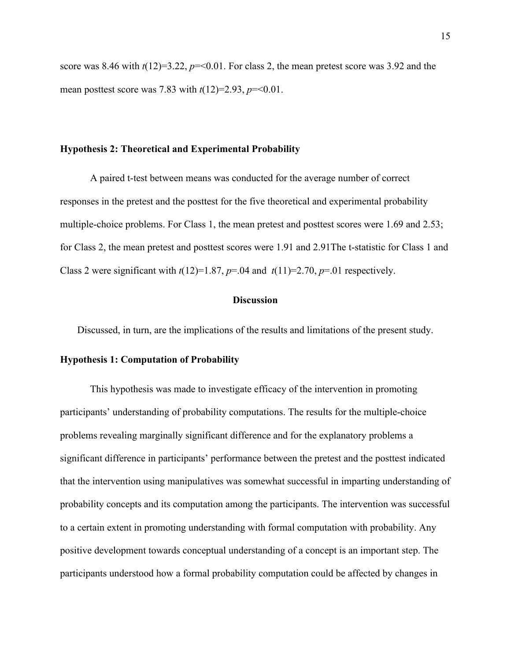score was 8.46 with  $t(12)=3.22$ ,  $p=<0.01$ . For class 2, the mean pretest score was 3.92 and the mean posttest score was 7.83 with *t*(12)=2.93, *p*=<0.01.

#### **Hypothesis 2: Theoretical and Experimental Probability**

A paired t-test between means was conducted for the average number of correct responses in the pretest and the posttest for the five theoretical and experimental probability multiple-choice problems. For Class 1, the mean pretest and posttest scores were 1.69 and 2.53; for Class 2, the mean pretest and posttest scores were 1.91 and 2.91The t-statistic for Class 1 and Class 2 were significant with  $t(12)=1.87$ ,  $p=.04$  and  $t(11)=2.70$ ,  $p=.01$  respectively.

#### **Discussion**

Discussed, in turn, are the implications of the results and limitations of the present study.

#### **Hypothesis 1: Computation of Probability**

This hypothesis was made to investigate efficacy of the intervention in promoting participants' understanding of probability computations. The results for the multiple-choice problems revealing marginally significant difference and for the explanatory problems a significant difference in participants' performance between the pretest and the posttest indicated that the intervention using manipulatives was somewhat successful in imparting understanding of probability concepts and its computation among the participants. The intervention was successful to a certain extent in promoting understanding with formal computation with probability. Any positive development towards conceptual understanding of a concept is an important step. The participants understood how a formal probability computation could be affected by changes in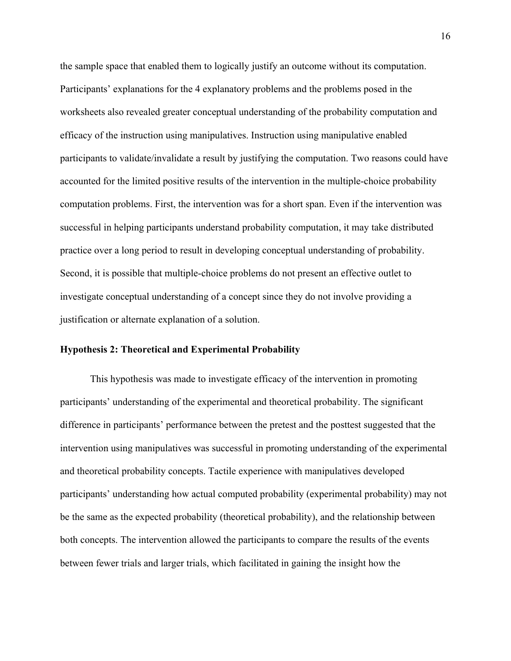the sample space that enabled them to logically justify an outcome without its computation. Participants' explanations for the 4 explanatory problems and the problems posed in the worksheets also revealed greater conceptual understanding of the probability computation and efficacy of the instruction using manipulatives. Instruction using manipulative enabled participants to validate/invalidate a result by justifying the computation. Two reasons could have accounted for the limited positive results of the intervention in the multiple-choice probability computation problems. First, the intervention was for a short span. Even if the intervention was successful in helping participants understand probability computation, it may take distributed practice over a long period to result in developing conceptual understanding of probability. Second, it is possible that multiple-choice problems do not present an effective outlet to investigate conceptual understanding of a concept since they do not involve providing a justification or alternate explanation of a solution.

### **Hypothesis 2: Theoretical and Experimental Probability**

This hypothesis was made to investigate efficacy of the intervention in promoting participants' understanding of the experimental and theoretical probability. The significant difference in participants' performance between the pretest and the posttest suggested that the intervention using manipulatives was successful in promoting understanding of the experimental and theoretical probability concepts. Tactile experience with manipulatives developed participants' understanding how actual computed probability (experimental probability) may not be the same as the expected probability (theoretical probability), and the relationship between both concepts. The intervention allowed the participants to compare the results of the events between fewer trials and larger trials, which facilitated in gaining the insight how the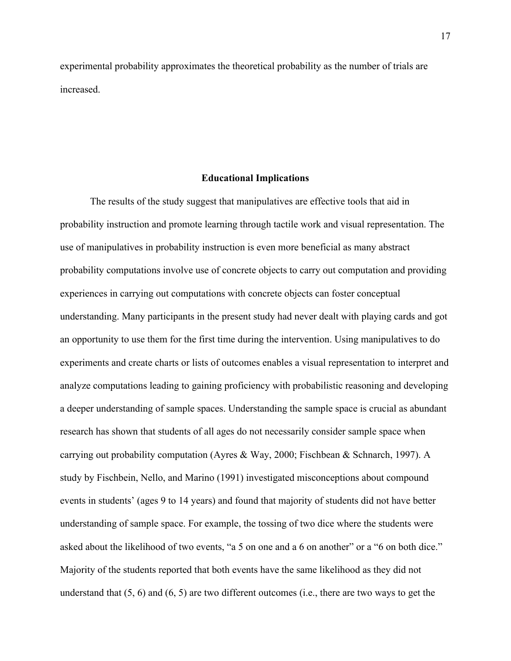experimental probability approximates the theoretical probability as the number of trials are increased.

#### **Educational Implications**

The results of the study suggest that manipulatives are effective tools that aid in probability instruction and promote learning through tactile work and visual representation. The use of manipulatives in probability instruction is even more beneficial as many abstract probability computations involve use of concrete objects to carry out computation and providing experiences in carrying out computations with concrete objects can foster conceptual understanding. Many participants in the present study had never dealt with playing cards and got an opportunity to use them for the first time during the intervention. Using manipulatives to do experiments and create charts or lists of outcomes enables a visual representation to interpret and analyze computations leading to gaining proficiency with probabilistic reasoning and developing a deeper understanding of sample spaces. Understanding the sample space is crucial as abundant research has shown that students of all ages do not necessarily consider sample space when carrying out probability computation (Ayres & Way, 2000; Fischbean & Schnarch, 1997). A study by Fischbein, Nello, and Marino (1991) investigated misconceptions about compound events in students' (ages 9 to 14 years) and found that majority of students did not have better understanding of sample space. For example, the tossing of two dice where the students were asked about the likelihood of two events, "a 5 on one and a 6 on another" or a "6 on both dice." Majority of the students reported that both events have the same likelihood as they did not understand that (5, 6) and (6, 5) are two different outcomes (i.e., there are two ways to get the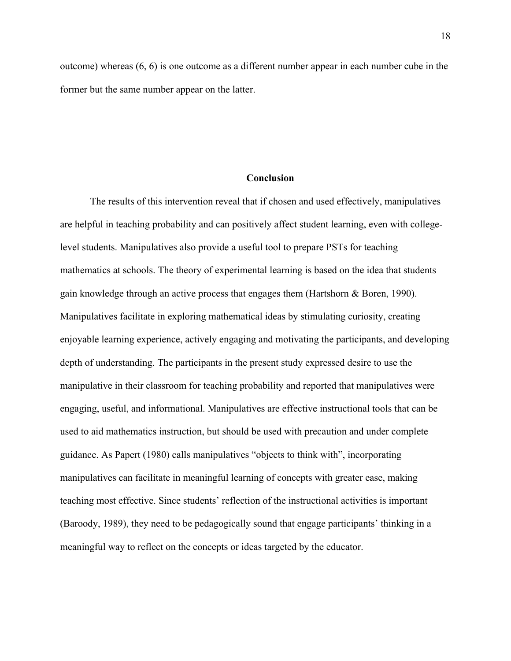outcome) whereas  $(6, 6)$  is one outcome as a different number appear in each number cube in the former but the same number appear on the latter.

#### **Conclusion**

The results of this intervention reveal that if chosen and used effectively, manipulatives are helpful in teaching probability and can positively affect student learning, even with collegelevel students. Manipulatives also provide a useful tool to prepare PSTs for teaching mathematics at schools. The theory of experimental learning is based on the idea that students gain knowledge through an active process that engages them (Hartshorn & Boren, 1990). Manipulatives facilitate in exploring mathematical ideas by stimulating curiosity, creating enjoyable learning experience, actively engaging and motivating the participants, and developing depth of understanding. The participants in the present study expressed desire to use the manipulative in their classroom for teaching probability and reported that manipulatives were engaging, useful, and informational. Manipulatives are effective instructional tools that can be used to aid mathematics instruction, but should be used with precaution and under complete guidance. As Papert (1980) calls manipulatives "objects to think with", incorporating manipulatives can facilitate in meaningful learning of concepts with greater ease, making teaching most effective. Since students' reflection of the instructional activities is important (Baroody, 1989), they need to be pedagogically sound that engage participants' thinking in a meaningful way to reflect on the concepts or ideas targeted by the educator.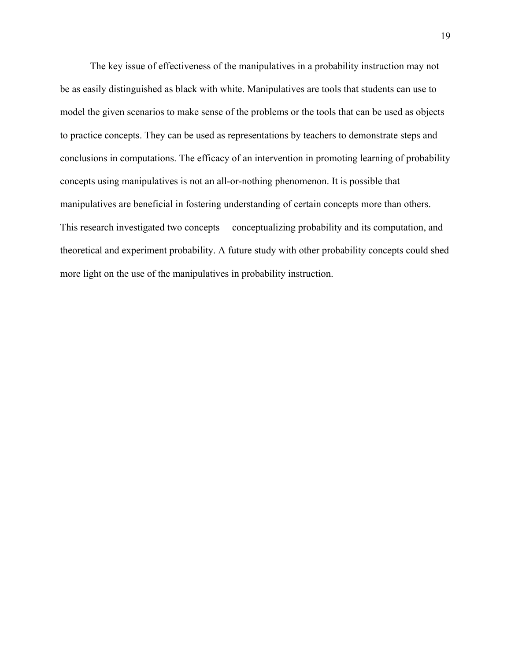The key issue of effectiveness of the manipulatives in a probability instruction may not be as easily distinguished as black with white. Manipulatives are tools that students can use to model the given scenarios to make sense of the problems or the tools that can be used as objects to practice concepts. They can be used as representations by teachers to demonstrate steps and conclusions in computations. The efficacy of an intervention in promoting learning of probability concepts using manipulatives is not an all-or-nothing phenomenon. It is possible that manipulatives are beneficial in fostering understanding of certain concepts more than others. This research investigated two concepts— conceptualizing probability and its computation, and theoretical and experiment probability. A future study with other probability concepts could shed more light on the use of the manipulatives in probability instruction.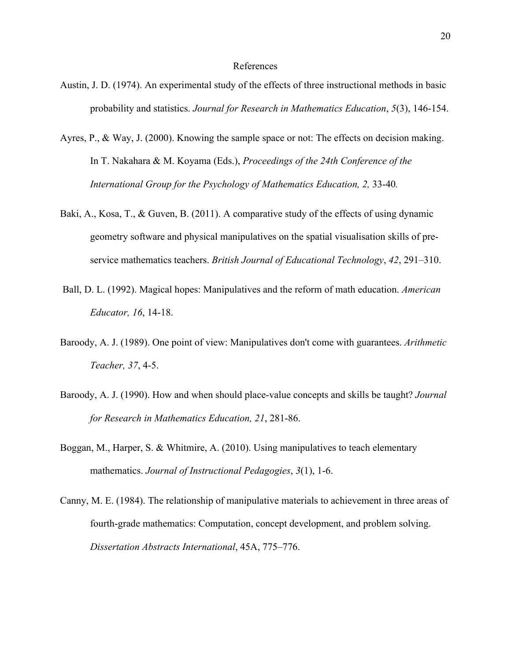#### References

- Austin, J. D. (1974). An experimental study of the effects of three instructional methods in basic probability and statistics. *Journal for Research in Mathematics Education*, *5*(3), 146-154.
- Ayres, P., & Way, J. (2000). Knowing the sample space or not: The effects on decision making. In T. Nakahara & M. Koyama (Eds.), *Proceedings of the 24th Conference of the International Group for the Psychology of Mathematics Education, 2,* 33-40*.*
- Baki, A., Kosa, T., & Guven, B. (2011). A comparative study of the effects of using dynamic geometry software and physical manipulatives on the spatial visualisation skills of preservice mathematics teachers. *British Journal of Educational Technology*, *42*, 291–310.
- Ball, D. L. (1992). Magical hopes: Manipulatives and the reform of math education. *American Educator, 16*, 14-18.
- Baroody, A. J. (1989). One point of view: Manipulatives don't come with guarantees. *Arithmetic Teacher, 37*, 4-5.
- Baroody, A. J. (1990). How and when should place-value concepts and skills be taught? *Journal for Research in Mathematics Education, 21*, 281-86.
- Boggan, M., Harper, S. & Whitmire, A. (2010). Using manipulatives to teach elementary mathematics. *Journal of Instructional Pedagogies*, *3*(1), 1-6.
- Canny, M. E. (1984). The relationship of manipulative materials to achievement in three areas of fourth-grade mathematics: Computation, concept development, and problem solving. *Dissertation Abstracts International*, 45A, 775–776.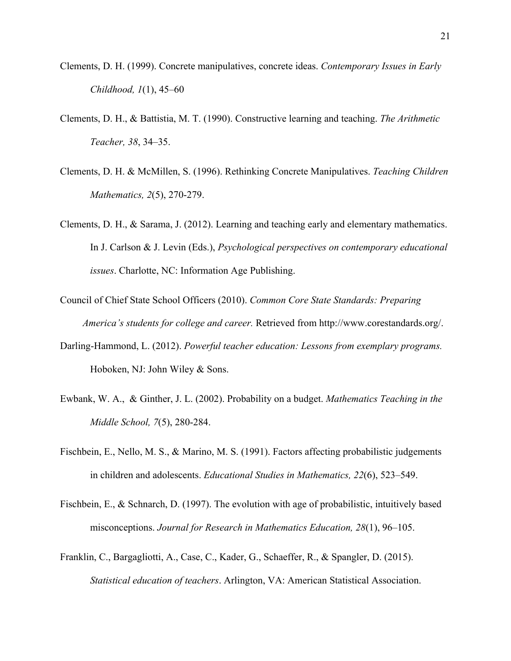- Clements, D. H. (1999). Concrete manipulatives, concrete ideas. *Contemporary Issues in Early Childhood, 1*(1), 45–60
- Clements, D. H., & Battistia, M. T. (1990). Constructive learning and teaching. *The Arithmetic Teacher, 38*, 34–35.
- Clements, D. H. & McMillen, S. (1996). Rethinking Concrete Manipulatives. *Teaching Children Mathematics, 2*(5), 270-279.
- Clements, D. H., & Sarama, J. (2012). Learning and teaching early and elementary mathematics. In J. Carlson & J. Levin (Eds.), *Psychological perspectives on contemporary educational issues*. Charlotte, NC: Information Age Publishing.
- Council of Chief State School Officers (2010). *Common Core State Standards: Preparing America's students for college and career.* Retrieved from http://www.corestandards.org/.
- Darling-Hammond, L. (2012). *Powerful teacher education: Lessons from exemplary programs.* Hoboken, NJ: John Wiley & Sons.
- Ewbank, W. A., & Ginther, J. L. (2002). Probability on a budget. *Mathematics Teaching in the Middle School, 7*(5), 280-284.
- Fischbein, E., Nello, M. S., & Marino, M. S. (1991). Factors affecting probabilistic judgements in children and adolescents. *Educational Studies in Mathematics, 22*(6), 523–549.
- Fischbein, E., & Schnarch, D. (1997). The evolution with age of probabilistic, intuitively based misconceptions. *Journal for Research in Mathematics Education, 28*(1), 96–105.
- Franklin, C., Bargagliotti, A., Case, C., Kader, G., Schaeffer, R., & Spangler, D. (2015). *Statistical education of teachers*. Arlington, VA: American Statistical Association.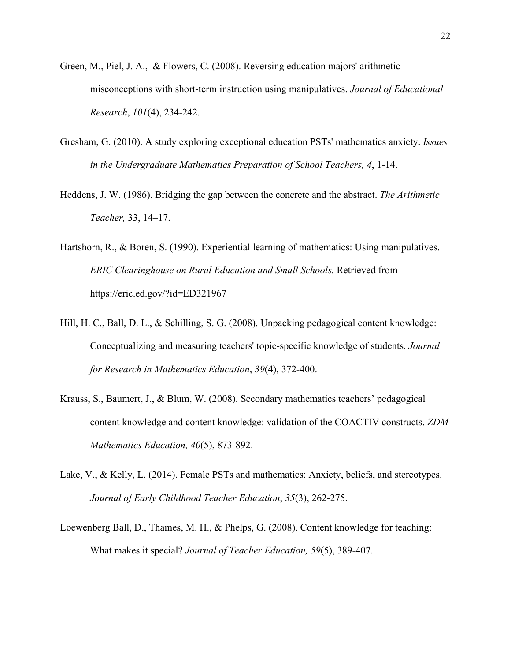- Green, M., Piel, J. A., & Flowers, C. (2008). Reversing education majors' arithmetic misconceptions with short-term instruction using manipulatives. *Journal of Educational Research*, *101*(4), 234-242.
- Gresham, G. (2010). A study exploring exceptional education PSTs' mathematics anxiety. *Issues in the Undergraduate Mathematics Preparation of School Teachers, 4*, 1-14.
- Heddens, J. W. (1986). Bridging the gap between the concrete and the abstract. *The Arithmetic Teacher,* 33, 14–17.
- Hartshorn, R., & Boren, S. (1990). Experiential learning of mathematics: Using manipulatives. *ERIC Clearinghouse on Rural Education and Small Schools.* Retrieved from https://eric.ed.gov/?id=ED321967
- Hill, H. C., Ball, D. L., & Schilling, S. G. (2008). Unpacking pedagogical content knowledge: Conceptualizing and measuring teachers' topic-specific knowledge of students. *Journal for Research in Mathematics Education*, *39*(4), 372-400.
- Krauss, S., Baumert, J., & Blum, W. (2008). Secondary mathematics teachers' pedagogical content knowledge and content knowledge: validation of the COACTIV constructs. *ZDM Mathematics Education, 40*(5), 873-892.
- Lake, V., & Kelly, L. (2014). Female PSTs and mathematics: Anxiety, beliefs, and stereotypes. *Journal of Early Childhood Teacher Education*, *35*(3), 262-275.
- Loewenberg Ball, D., Thames, M. H., & Phelps, G. (2008). Content knowledge for teaching: What makes it special? *Journal of Teacher Education, 59*(5), 389-407.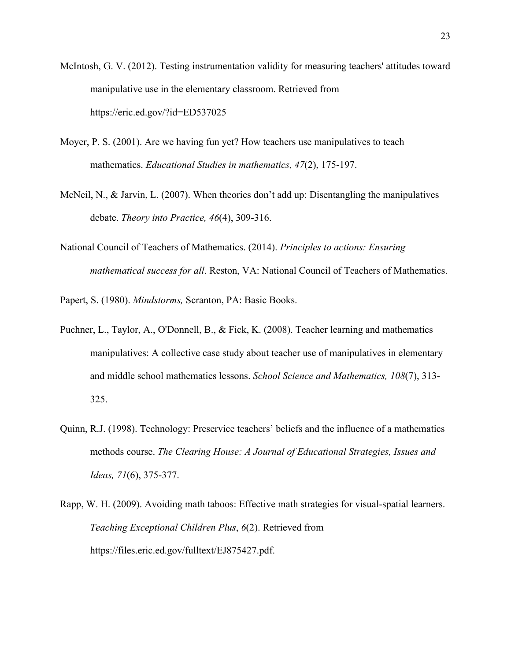- McIntosh, G. V. (2012). Testing instrumentation validity for measuring teachers' attitudes toward manipulative use in the elementary classroom. Retrieved from https://eric.ed.gov/?id=ED537025
- Moyer, P. S. (2001). Are we having fun yet? How teachers use manipulatives to teach mathematics. *Educational Studies in mathematics, 47*(2), 175-197.
- McNeil, N., & Jarvin, L. (2007). When theories don't add up: Disentangling the manipulatives debate. *Theory into Practice, 46*(4), 309-316.
- National Council of Teachers of Mathematics. (2014). *Principles to actions: Ensuring mathematical success for all*. Reston, VA: National Council of Teachers of Mathematics.
- Papert, S. (1980). *Mindstorms,* Scranton, PA: Basic Books.
- Puchner, L., Taylor, A., O'Donnell, B., & Fick, K. (2008). Teacher learning and mathematics manipulatives: A collective case study about teacher use of manipulatives in elementary and middle school mathematics lessons. *School Science and Mathematics, 108*(7), 313- 325.
- Quinn, R.J. (1998). Technology: Preservice teachers' beliefs and the influence of a mathematics methods course. *The Clearing House: A Journal of Educational Strategies, Issues and Ideas, 71*(6), 375-377.
- Rapp, W. H. (2009). Avoiding math taboos: Effective math strategies for visual-spatial learners. *Teaching Exceptional Children Plus*, *6*(2). Retrieved from https://files.eric.ed.gov/fulltext/EJ875427.pdf.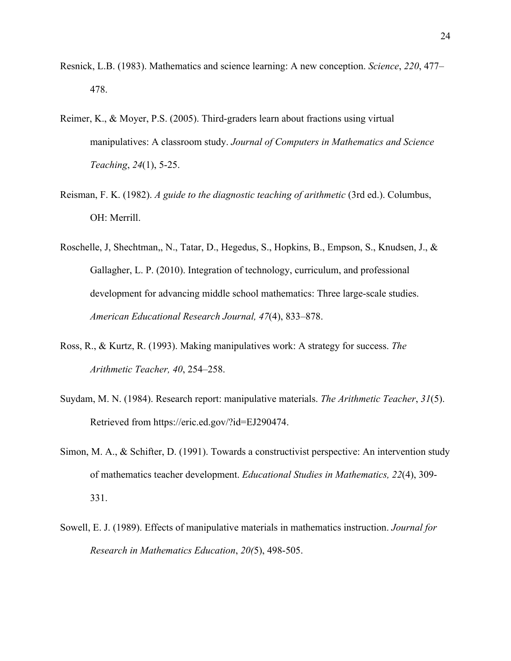- Resnick, L.B. (1983). Mathematics and science learning: A new conception. *Science*, *220*, 477– 478.
- Reimer, K., & Moyer, P.S. (2005). Third-graders learn about fractions using virtual manipulatives: A classroom study. *Journal of Computers in Mathematics and Science Teaching*, *24*(1), 5-25.
- Reisman, F. K. (1982). *A guide to the diagnostic teaching of arithmetic* (3rd ed.). Columbus, OH: Merrill.
- Roschelle, J, Shechtman,, N., Tatar, D., Hegedus, S., Hopkins, B., Empson, S., Knudsen, J., & Gallagher, L. P. (2010). Integration of technology, curriculum, and professional development for advancing middle school mathematics: Three large-scale studies. *American Educational Research Journal, 47*(4), 833–878.
- Ross, R., & Kurtz, R. (1993). Making manipulatives work: A strategy for success. *The Arithmetic Teacher, 40*, 254–258.
- Suydam, M. N. (1984). Research report: manipulative materials. *The Arithmetic Teacher*, *31*(5). Retrieved from https://eric.ed.gov/?id=EJ290474.
- Simon, M. A., & Schifter, D. (1991). Towards a constructivist perspective: An intervention study of mathematics teacher development. *Educational Studies in Mathematics, 22*(4), 309- 331.
- Sowell, E. J. (1989). Effects of manipulative materials in mathematics instruction. *Journal for Research in Mathematics Education*, *20(*5), 498-505.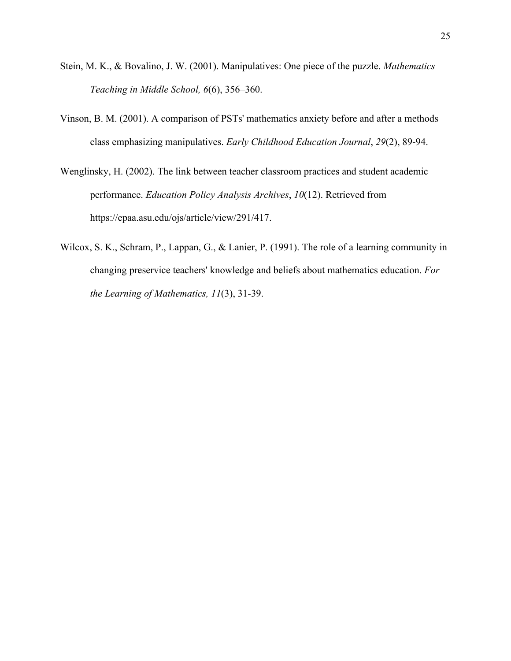- Stein, M. K., & Bovalino, J. W. (2001). Manipulatives: One piece of the puzzle. *Mathematics Teaching in Middle School, 6*(6), 356–360.
- Vinson, B. M. (2001). A comparison of PSTs' mathematics anxiety before and after a methods class emphasizing manipulatives. *Early Childhood Education Journal*, *29*(2), 89-94.
- Wenglinsky, H. (2002). The link between teacher classroom practices and student academic performance. *Education Policy Analysis Archives*, *10*(12). Retrieved from https://epaa.asu.edu/ojs/article/view/291/417.
- Wilcox, S. K., Schram, P., Lappan, G., & Lanier, P. (1991). The role of a learning community in changing preservice teachers' knowledge and beliefs about mathematics education. *For the Learning of Mathematics, 11*(3), 31-39.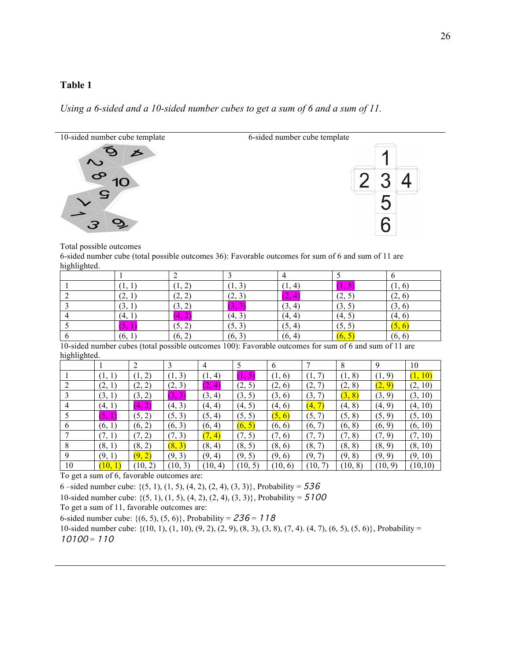# **Table 1**

*Using a 6-sided and a 10-sided number cubes to get a sum of 6 and a sum of 11.*



#### Total possible outcomes

6-sided number cube (total possible outcomes 36): Favorable outcomes for sum of 6 and sum of 11 are highlighted.

| $\sim$ |                                              |                          |        |                             |                     |                     |
|--------|----------------------------------------------|--------------------------|--------|-----------------------------|---------------------|---------------------|
|        | .                                            | ∸<br><b>LA</b>           | 1, 3   | -4.<br>$\cdot$ $\cdot$      | 1. J                | $\left[1, 6\right]$ |
|        | (2, 1)                                       | (2, 2)                   | (2, 3) | $\sqrt{2}$<br>4<br>المتعاطف | $\sqrt{2}$<br>(∠, J | (2, 6)              |
|        | (3, 1)                                       | (3, 2)                   | ب , ب  | (3, 4)                      | (3, 5)              | (3, 6)              |
|        | (4, 1)                                       | $\sim$<br>$\overline{a}$ | (4, 3) | (4, 4)                      | (4, 5)              | (4, 6)              |
|        | $\overline{ }$<br>$\mathcal{D}_{\mathbf{A}}$ | (5, 2)                   | (5, 3) | (5, 4)                      | (5, 5)              | (5, 6)              |
|        | (6, 1)                                       | (6, 2)                   | (6, 3) | (6, 4)                      | $\left(0, \right)$  | (6, 6)              |

10-sided number cubes (total possible outcomes 100): Favorable outcomes for sum of 6 and sum of 11 are highlighted.

|    |        | 2                    | 3       | 4         |                   | 6         |          | 8       | 9       | 10      |
|----|--------|----------------------|---------|-----------|-------------------|-----------|----------|---------|---------|---------|
|    | (1, 1) | 2)<br>$\mathbf{1},$  | 3)      | 4)<br>(1, | 5<br>$\mathbf{L}$ | (1,<br>6) | Ί,       | (1, 8)  | (1, 9)  | (1, 10) |
|    | (2, 1) | (2,<br>2)            | (2, 3)  | 4)        | (2, 5)            | (2, 6)    | (2,      | (2, 8)  | (2, 9)  | (2, 10) |
|    | (3, 1) | 2)<br>(3,            | (3, 3)  | (3, 4)    | (3, 5)            | (3, 6)    | 3,<br>7) | (3, 8)  | (3, 9)  | (3, 10) |
| 4  | (4, 1) | (4, 2)               | (4, 3)  | (4, 4)    | (4, 5)            | (4, 6)    | (4, 7)   | (4, 8)  | (4, 9)  | (4, 10) |
|    | (5, 1) | (5, 2)               | (5, 3)  | (5, 4)    | (5, 5)            | (5, 6)    | (5, 7)   | (5, 8)  | (5, 9)  | (5, 10) |
| 6  | (6, 1) | (6, 2)               | (6, 3)  | (6, 4)    | (6, 5)            | (6, 6)    | (6, 7)   | (6, 8)  | (6, 9)  | (6, 10) |
|    | (7, 1) | $\mathcal{I},$<br>2) | (7, 3)  | (7, 4)    | (7, 5)            | (7, 6)    | 7,<br>7) | (7, 8)  | (7, 9)  | (7, 10) |
| 8  | (8, 1) | (8, 2)               | (8, 3)  | (8, 4)    | (8, 5)            | (8, 6)    | (8, 7)   | (8, 8)  | (8, 9)  | (8, 10) |
| 9  | (9, 1) | (9, 2)               | (9, 3)  | (9, 4)    | (9, 5)            | (9, 6)    | (9, 7)   | (9, 8)  | (9, 9)  | (9, 10) |
| 10 | (10,   | (10, 2)              | (10, 3) | (10, 4)   | (10, 5)           | (10, 6)   | (10, 7)  | (10, 8) | (10, 9) | (10,10) |

To get a sum of 6, favorable outcomes are:

6 –sided number cube: { $(5, 1)$ ,  $(1, 5)$ ,  $(4, 2)$ ,  $(2, 4)$ ,  $(3, 3)$ }, Probability = 536

10-sided number cube: {(5, 1), (1, 5), (4, 2), (2, 4), (3, 3)}, Probability = 5100

To get a sum of 11, favorable outcomes are:

6-sided number cube: { $(6, 5)$ ,  $(5, 6)$ }, Probability = 236 = 118

10-sided number cube:  $\{(10, 1), (1, 10), (9, 2), (2, 9), (8, 3), (3, 8), (7, 4), (4, 7), (6, 5), (5, 6)\}$ , Probability =  $10100 = 110$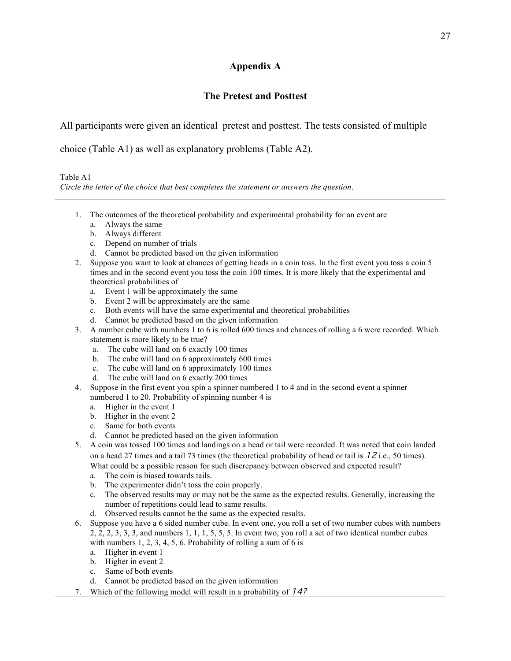# **Appendix A**

# **The Pretest and Posttest**

All participants were given an identical pretest and posttest. The tests consisted of multiple

choice (Table A1) as well as explanatory problems (Table A2).

Table A1 *Circle the letter of the choice that best completes the statement or answers the question*.

- 1. The outcomes of the theoretical probability and experimental probability for an event are
	- a. Always the same
	- b. Always different
	- c. Depend on number of trials
	- d. Cannot be predicted based on the given information
- 2. Suppose you want to look at chances of getting heads in a coin toss. In the first event you toss a coin 5 times and in the second event you toss the coin 100 times. It is more likely that the experimental and theoretical probabilities of
	- a. Event 1 will be approximately the same
	- b. Event 2 will be approximately are the same
	- c. Both events will have the same experimental and theoretical probabilities
	- d. Cannot be predicted based on the given information
- 3. A number cube with numbers 1 to 6 is rolled 600 times and chances of rolling a 6 were recorded. Which statement is more likely to be true?
	- a. The cube will land on 6 exactly 100 times
	- b. The cube will land on 6 approximately 600 times
	- c. The cube will land on 6 approximately 100 times
	- d. The cube will land on 6 exactly 200 times
- 4. Suppose in the first event you spin a spinner numbered 1 to 4 and in the second event a spinner numbered 1 to 20. Probability of spinning number 4 is
	- a. Higher in the event 1
	- b. Higher in the event 2
	- c. Same for both events
	- d. Cannot be predicted based on the given information
- 5. A coin was tossed 100 times and landings on a head or tail were recorded. It was noted that coin landed on a head 27 times and a tail 73 times (the theoretical probability of head or tail is  $12$  i.e., 50 times). What could be a possible reason for such discrepancy between observed and expected result?
	- a. The coin is biased towards tails.
	- b. The experimenter didn't toss the coin properly.
	- c. The observed results may or may not be the same as the expected results. Generally, increasing the number of repetitions could lead to same results.
	- d. Observed results cannot be the same as the expected results.
- 6. Suppose you have a 6 sided number cube. In event one, you roll a set of two number cubes with numbers 2, 2, 2, 3, 3, 3, and numbers 1, 1, 1, 5, 5, 5. In event two, you roll a set of two identical number cubes with numbers 1, 2, 3, 4, 5, 6. Probability of rolling a sum of 6 is
	- a. Higher in event 1
	- b. Higher in event 2
	- c. Same of both events
	- d. Cannot be predicted based on the given information
- 7. Which of the following model will result in a probability of 14?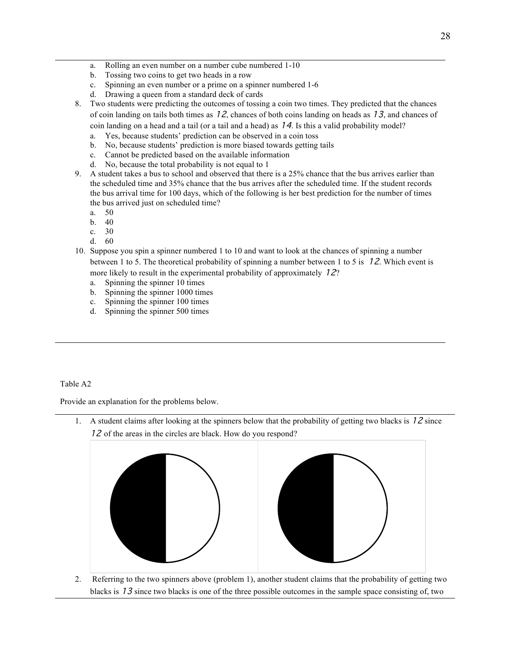- a. Rolling an even number on a number cube numbered 1-10
- b. Tossing two coins to get two heads in a row
- c. Spinning an even number or a prime on a spinner numbered 1-6
- d. Drawing a queen from a standard deck of cards
- 8. Two students were predicting the outcomes of tossing a coin two times. They predicted that the chances of coin landing on tails both times as 12, chances of both coins landing on heads as 13, and chances of coin landing on a head and a tail (or a tail and a head) as  $14$ . Is this a valid probability model?
	- a. Yes, because students' prediction can be observed in a coin toss
	- b. No, because students' prediction is more biased towards getting tails
	- c. Cannot be predicted based on the available information
	- d. No, because the total probability is not equal to 1
- 9. A student takes a bus to school and observed that there is a 25% chance that the bus arrives earlier than the scheduled time and 35% chance that the bus arrives after the scheduled time. If the student records the bus arrival time for 100 days, which of the following is her best prediction for the number of times the bus arrived just on scheduled time?
	- a. 50
	- b. 40
	- c. 30
	- d. 60
- 10. Suppose you spin a spinner numbered 1 to 10 and want to look at the chances of spinning a number between 1 to 5. The theoretical probability of spinning a number between 1 to 5 is 12. Which event is more likely to result in the experimental probability of approximately 12?
	- a. Spinning the spinner 10 times
	- b. Spinning the spinner 1000 times
	- c. Spinning the spinner 100 times
	- d. Spinning the spinner 500 times

Table A2

Provide an explanation for the problems below.

1. A student claims after looking at the spinners below that the probability of getting two blacks is 12 since 12 of the areas in the circles are black. How do you respond?



2. Referring to the two spinners above (problem 1), another student claims that the probability of getting two blacks is  $13$  since two blacks is one of the three possible outcomes in the sample space consisting of, two